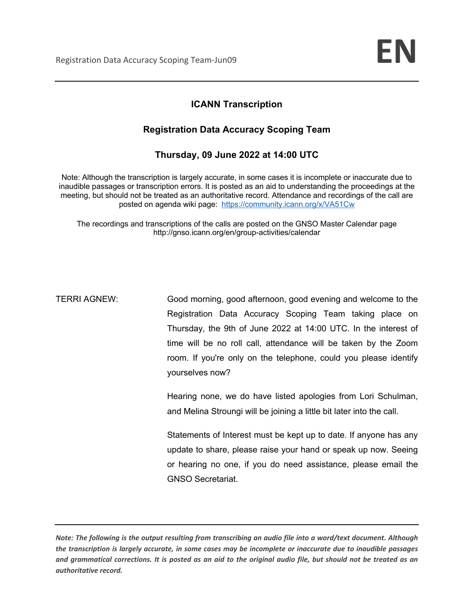## **ICANN Transcription**

### **Registration Data Accuracy Scoping Team**

**Thursday, 09 June 2022 at 14:00 UTC** 

Note: Although the transcription is largely accurate, in some cases it is incomplete or inaccurate due to inaudible passages or transcription errors. It is posted as an aid to understanding the proceedings at the meeting, but should not be treated as an authoritative record. Attendance and recordings of the call are posted on agenda wiki page: https://community.icann.org/x/VA51Cw

The recordings and transcriptions of the calls are posted on the GNSO Master Calendar page http://gnso.icann.org/en/group-activities/calendar

TERRI AGNEW: Good morning, good afternoon, good evening and welcome to the Registration Data Accuracy Scoping Team taking place on Thursday, the 9th of June 2022 at 14:00 UTC. In the interest of time will be no roll call, attendance will be taken by the Zoom room. If you're only on the telephone, could you please identify yourselves now?

> Hearing none, we do have listed apologies from Lori Schulman, and Melina Stroungi will be joining a little bit later into the call.

> Statements of Interest must be kept up to date. If anyone has any update to share, please raise your hand or speak up now. Seeing or hearing no one, if you do need assistance, please email the GNSO Secretariat.

*Note: The following is the output resulting from transcribing an audio file into a word/text document. Although the transcription is largely accurate, in some cases may be incomplete or inaccurate due to inaudible passages and grammatical corrections. It is posted as an aid to the original audio file, but should not be treated as an authoritative record.*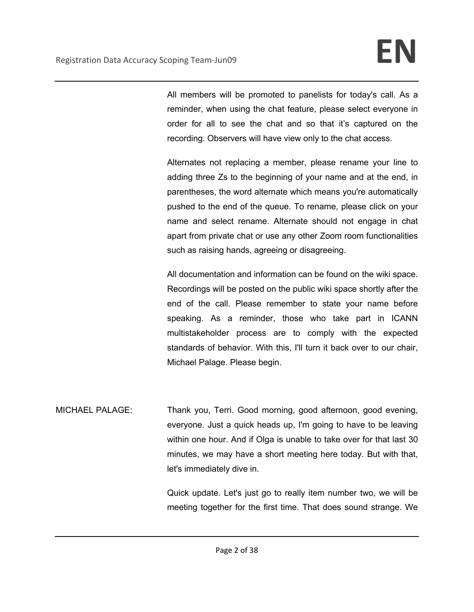All members will be promoted to panelists for today's call. As a reminder, when using the chat feature, please select everyone in order for all to see the chat and so that it's captured on the recording. Observers will have view only to the chat access.

Alternates not replacing a member, please rename your line to adding three Zs to the beginning of your name and at the end, in parentheses, the word alternate which means you're automatically pushed to the end of the queue. To rename, please click on your name and select rename. Alternate should not engage in chat apart from private chat or use any other Zoom room functionalities such as raising hands, agreeing or disagreeing.

All documentation and information can be found on the wiki space. Recordings will be posted on the public wiki space shortly after the end of the call. Please remember to state your name before speaking. As a reminder, those who take part in ICANN multistakeholder process are to comply with the expected standards of behavior. With this, I'll turn it back over to our chair, Michael Palage. Please begin.

MICHAEL PALAGE: Thank you, Terri. Good morning, good afternoon, good evening, everyone. Just a quick heads up, I'm going to have to be leaving within one hour. And if Olga is unable to take over for that last 30 minutes, we may have a short meeting here today. But with that, let's immediately dive in.

> Quick update. Let's just go to really item number two, we will be meeting together for the first time. That does sound strange. We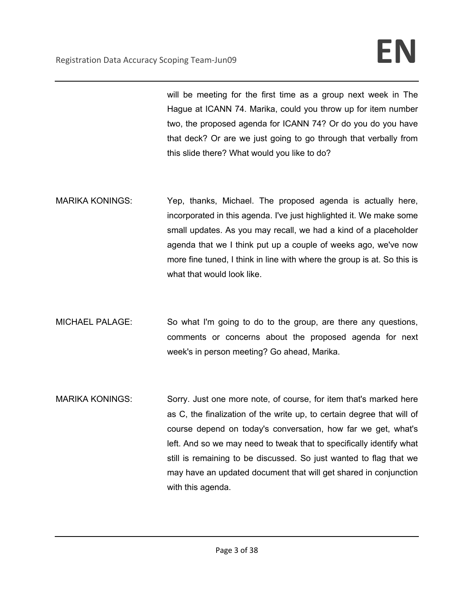will be meeting for the first time as a group next week in The Hague at ICANN 74. Marika, could you throw up for item number two, the proposed agenda for ICANN 74? Or do you do you have that deck? Or are we just going to go through that verbally from this slide there? What would you like to do?

- MARIKA KONINGS: Yep, thanks, Michael. The proposed agenda is actually here, incorporated in this agenda. I've just highlighted it. We make some small updates. As you may recall, we had a kind of a placeholder agenda that we I think put up a couple of weeks ago, we've now more fine tuned, I think in line with where the group is at. So this is what that would look like.
- MICHAEL PALAGE: So what I'm going to do to the group, are there any questions, comments or concerns about the proposed agenda for next week's in person meeting? Go ahead, Marika.
- MARIKA KONINGS: Sorry. Just one more note, of course, for item that's marked here as C, the finalization of the write up, to certain degree that will of course depend on today's conversation, how far we get, what's left. And so we may need to tweak that to specifically identify what still is remaining to be discussed. So just wanted to flag that we may have an updated document that will get shared in conjunction with this agenda.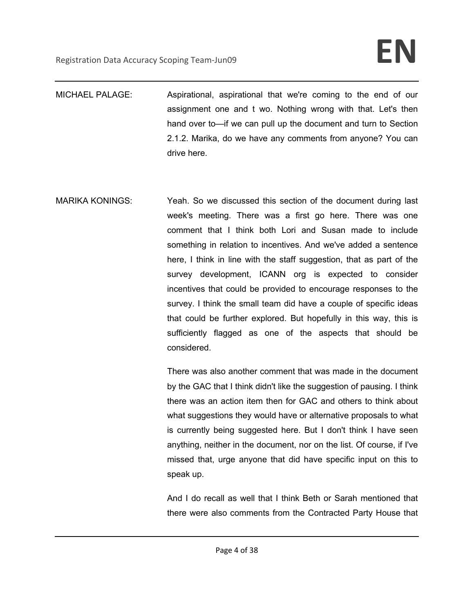MICHAEL PALAGE: Aspirational, aspirational that we're coming to the end of our assignment one and t wo. Nothing wrong with that. Let's then hand over to—if we can pull up the document and turn to Section 2.1.2. Marika, do we have any comments from anyone? You can drive here.

MARIKA KONINGS: Yeah. So we discussed this section of the document during last week's meeting. There was a first go here. There was one comment that I think both Lori and Susan made to include something in relation to incentives. And we've added a sentence here, I think in line with the staff suggestion, that as part of the survey development, ICANN org is expected to consider incentives that could be provided to encourage responses to the survey. I think the small team did have a couple of specific ideas that could be further explored. But hopefully in this way, this is sufficiently flagged as one of the aspects that should be considered.

> There was also another comment that was made in the document by the GAC that I think didn't like the suggestion of pausing. I think there was an action item then for GAC and others to think about what suggestions they would have or alternative proposals to what is currently being suggested here. But I don't think I have seen anything, neither in the document, nor on the list. Of course, if I've missed that, urge anyone that did have specific input on this to speak up.

> And I do recall as well that I think Beth or Sarah mentioned that there were also comments from the Contracted Party House that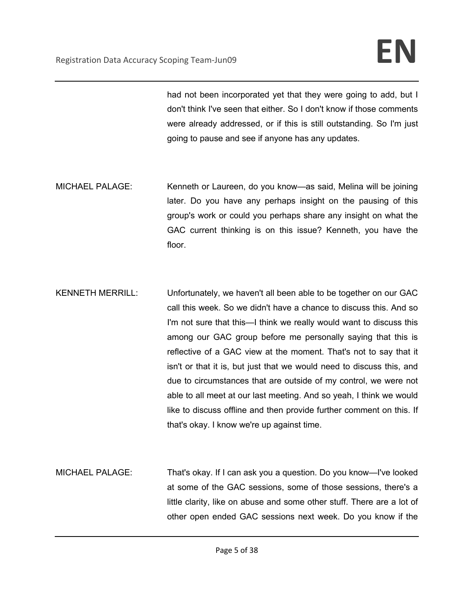had not been incorporated yet that they were going to add, but I don't think I've seen that either. So I don't know if those comments were already addressed, or if this is still outstanding. So I'm just going to pause and see if anyone has any updates.

- MICHAEL PALAGE: Kenneth or Laureen, do you know—as said, Melina will be joining later. Do you have any perhaps insight on the pausing of this group's work or could you perhaps share any insight on what the GAC current thinking is on this issue? Kenneth, you have the floor.
- KENNETH MERRILL: Unfortunately, we haven't all been able to be together on our GAC call this week. So we didn't have a chance to discuss this. And so I'm not sure that this—I think we really would want to discuss this among our GAC group before me personally saying that this is reflective of a GAC view at the moment. That's not to say that it isn't or that it is, but just that we would need to discuss this, and due to circumstances that are outside of my control, we were not able to all meet at our last meeting. And so yeah, I think we would like to discuss offline and then provide further comment on this. If that's okay. I know we're up against time.
- MICHAEL PALAGE: That's okay. If I can ask you a question. Do you know—I've looked at some of the GAC sessions, some of those sessions, there's a little clarity, like on abuse and some other stuff. There are a lot of other open ended GAC sessions next week. Do you know if the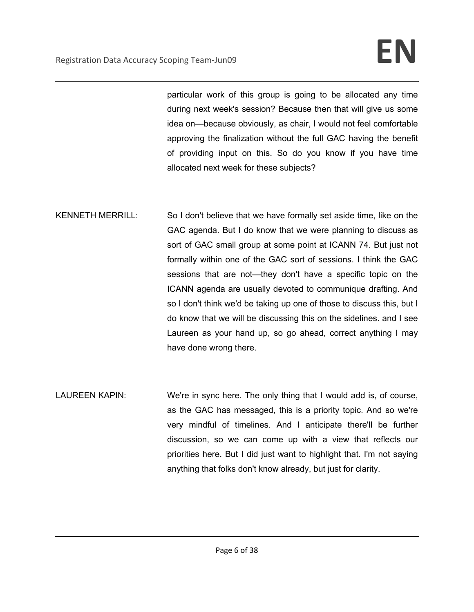particular work of this group is going to be allocated any time during next week's session? Because then that will give us some idea on—because obviously, as chair, I would not feel comfortable approving the finalization without the full GAC having the benefit of providing input on this. So do you know if you have time allocated next week for these subjects?

- KENNETH MERRILL: So I don't believe that we have formally set aside time, like on the GAC agenda. But I do know that we were planning to discuss as sort of GAC small group at some point at ICANN 74. But just not formally within one of the GAC sort of sessions. I think the GAC sessions that are not—they don't have a specific topic on the ICANN agenda are usually devoted to communique drafting. And so I don't think we'd be taking up one of those to discuss this, but I do know that we will be discussing this on the sidelines. and I see Laureen as your hand up, so go ahead, correct anything I may have done wrong there.
- LAUREEN KAPIN: We're in sync here. The only thing that I would add is, of course, as the GAC has messaged, this is a priority topic. And so we're very mindful of timelines. And I anticipate there'll be further discussion, so we can come up with a view that reflects our priorities here. But I did just want to highlight that. I'm not saying anything that folks don't know already, but just for clarity.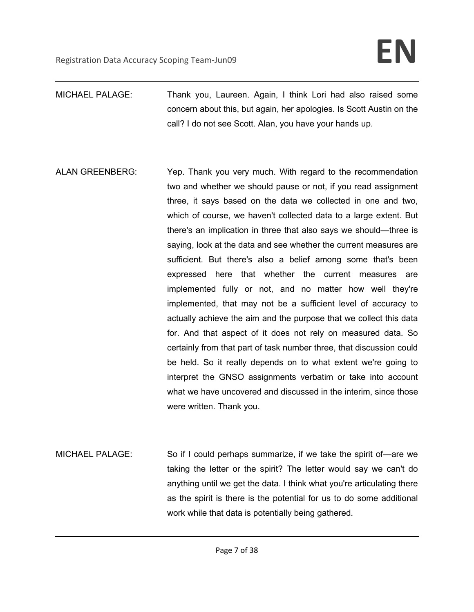- MICHAEL PALAGE: Thank you, Laureen. Again, I think Lori had also raised some concern about this, but again, her apologies. Is Scott Austin on the call? I do not see Scott. Alan, you have your hands up.
- ALAN GREENBERG: Yep. Thank you very much. With regard to the recommendation two and whether we should pause or not, if you read assignment three, it says based on the data we collected in one and two, which of course, we haven't collected data to a large extent. But there's an implication in three that also says we should—three is saying, look at the data and see whether the current measures are sufficient. But there's also a belief among some that's been expressed here that whether the current measures are implemented fully or not, and no matter how well they're implemented, that may not be a sufficient level of accuracy to actually achieve the aim and the purpose that we collect this data for. And that aspect of it does not rely on measured data. So certainly from that part of task number three, that discussion could be held. So it really depends on to what extent we're going to interpret the GNSO assignments verbatim or take into account what we have uncovered and discussed in the interim, since those were written. Thank you.
- MICHAEL PALAGE: So if I could perhaps summarize, if we take the spirit of—are we taking the letter or the spirit? The letter would say we can't do anything until we get the data. I think what you're articulating there as the spirit is there is the potential for us to do some additional work while that data is potentially being gathered.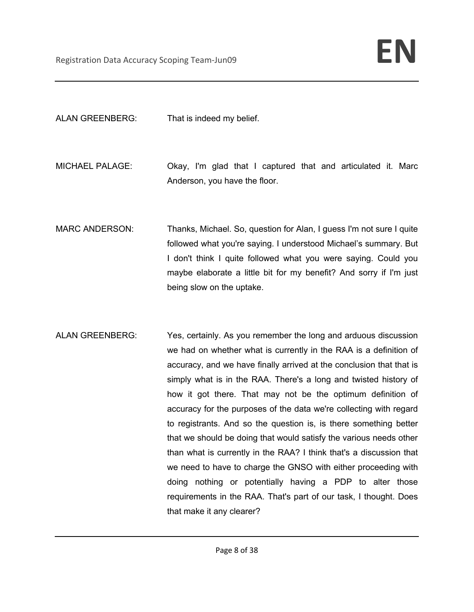ALAN GREENBERG: That is indeed my belief.

- MICHAEL PALAGE: Okay, I'm glad that I captured that and articulated it. Marc Anderson, you have the floor.
- MARC ANDERSON: Thanks, Michael. So, question for Alan, I guess I'm not sure I quite followed what you're saying. I understood Michael's summary. But I don't think I quite followed what you were saying. Could you maybe elaborate a little bit for my benefit? And sorry if I'm just being slow on the uptake.
- ALAN GREENBERG: Yes, certainly. As you remember the long and arduous discussion we had on whether what is currently in the RAA is a definition of accuracy, and we have finally arrived at the conclusion that that is simply what is in the RAA. There's a long and twisted history of how it got there. That may not be the optimum definition of accuracy for the purposes of the data we're collecting with regard to registrants. And so the question is, is there something better that we should be doing that would satisfy the various needs other than what is currently in the RAA? I think that's a discussion that we need to have to charge the GNSO with either proceeding with doing nothing or potentially having a PDP to alter those requirements in the RAA. That's part of our task, I thought. Does that make it any clearer?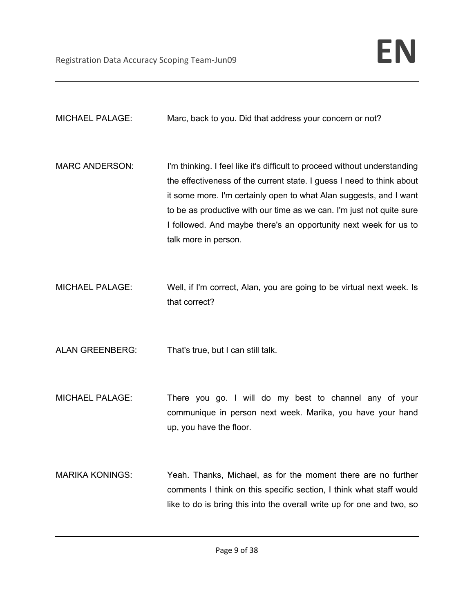MICHAEL PALAGE: Marc, back to you. Did that address your concern or not?

- MARC ANDERSON: I'm thinking. I feel like it's difficult to proceed without understanding the effectiveness of the current state. I guess I need to think about it some more. I'm certainly open to what Alan suggests, and I want to be as productive with our time as we can. I'm just not quite sure I followed. And maybe there's an opportunity next week for us to talk more in person.
- MICHAEL PALAGE: Well, if I'm correct, Alan, you are going to be virtual next week. Is that correct?

ALAN GREENBERG: That's true, but I can still talk.

- MICHAEL PALAGE: There you go. I will do my best to channel any of your communique in person next week. Marika, you have your hand up, you have the floor.
- MARIKA KONINGS: Yeah. Thanks, Michael, as for the moment there are no further comments I think on this specific section, I think what staff would like to do is bring this into the overall write up for one and two, so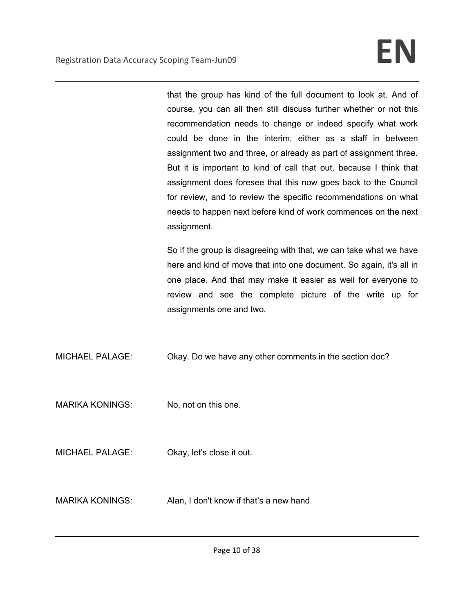that the group has kind of the full document to look at. And of course, you can all then still discuss further whether or not this recommendation needs to change or indeed specify what work could be done in the interim, either as a staff in between assignment two and three, or already as part of assignment three. But it is important to kind of call that out, because I think that assignment does foresee that this now goes back to the Council for review, and to review the specific recommendations on what needs to happen next before kind of work commences on the next assignment.

So if the group is disagreeing with that, we can take what we have here and kind of move that into one document. So again, it's all in one place. And that may make it easier as well for everyone to review and see the complete picture of the write up for assignments one and two.

MICHAEL PALAGE: Okay. Do we have any other comments in the section doc?

MARIKA KONINGS: No, not on this one.

MICHAEL PALAGE: Okay, let's close it out.

MARIKA KONINGS: Alan, I don't know if that's a new hand.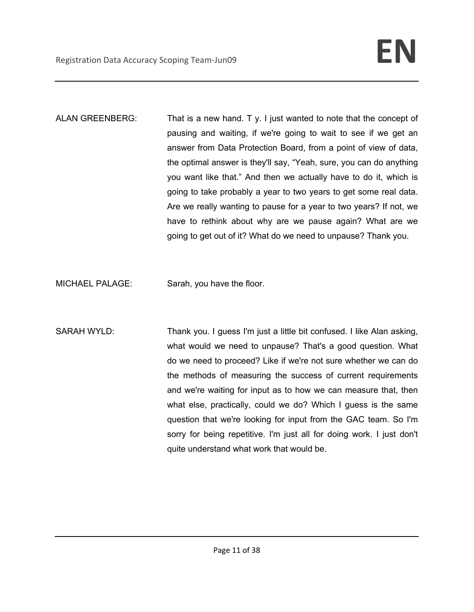ALAN GREENBERG: That is a new hand. T y. I just wanted to note that the concept of pausing and waiting, if we're going to wait to see if we get an answer from Data Protection Board, from a point of view of data, the optimal answer is they'll say, "Yeah, sure, you can do anything you want like that." And then we actually have to do it, which is going to take probably a year to two years to get some real data. Are we really wanting to pause for a year to two years? If not, we have to rethink about why are we pause again? What are we going to get out of it? What do we need to unpause? Thank you.

MICHAEL PALAGE: Sarah, you have the floor.

SARAH WYLD: Thank you. I guess I'm just a little bit confused. I like Alan asking, what would we need to unpause? That's a good question. What do we need to proceed? Like if we're not sure whether we can do the methods of measuring the success of current requirements and we're waiting for input as to how we can measure that, then what else, practically, could we do? Which I guess is the same question that we're looking for input from the GAC team. So I'm sorry for being repetitive. I'm just all for doing work. I just don't quite understand what work that would be.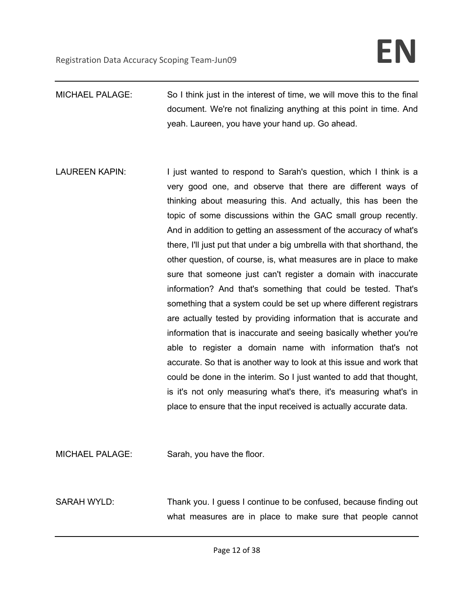- MICHAEL PALAGE: So I think just in the interest of time, we will move this to the final document. We're not finalizing anything at this point in time. And yeah. Laureen, you have your hand up. Go ahead.
- LAUREEN KAPIN: I just wanted to respond to Sarah's question, which I think is a very good one, and observe that there are different ways of thinking about measuring this. And actually, this has been the topic of some discussions within the GAC small group recently. And in addition to getting an assessment of the accuracy of what's there, I'll just put that under a big umbrella with that shorthand, the other question, of course, is, what measures are in place to make sure that someone just can't register a domain with inaccurate information? And that's something that could be tested. That's something that a system could be set up where different registrars are actually tested by providing information that is accurate and information that is inaccurate and seeing basically whether you're able to register a domain name with information that's not accurate. So that is another way to look at this issue and work that could be done in the interim. So I just wanted to add that thought, is it's not only measuring what's there, it's measuring what's in place to ensure that the input received is actually accurate data.

MICHAEL PALAGE: Sarah, you have the floor.

SARAH WYLD: Thank you. I guess I continue to be confused, because finding out what measures are in place to make sure that people cannot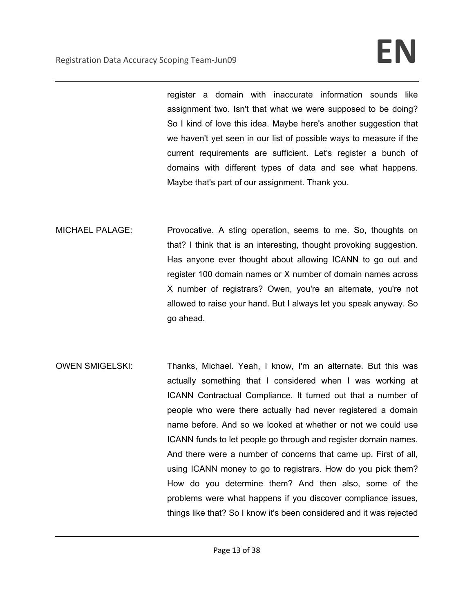register a domain with inaccurate information sounds like assignment two. Isn't that what we were supposed to be doing? So I kind of love this idea. Maybe here's another suggestion that we haven't yet seen in our list of possible ways to measure if the current requirements are sufficient. Let's register a bunch of domains with different types of data and see what happens. Maybe that's part of our assignment. Thank you.

- MICHAEL PALAGE: Provocative. A sting operation, seems to me. So, thoughts on that? I think that is an interesting, thought provoking suggestion. Has anyone ever thought about allowing ICANN to go out and register 100 domain names or X number of domain names across X number of registrars? Owen, you're an alternate, you're not allowed to raise your hand. But I always let you speak anyway. So go ahead.
- OWEN SMIGELSKI: Thanks, Michael. Yeah, I know, I'm an alternate. But this was actually something that I considered when I was working at ICANN Contractual Compliance. It turned out that a number of people who were there actually had never registered a domain name before. And so we looked at whether or not we could use ICANN funds to let people go through and register domain names. And there were a number of concerns that came up. First of all, using ICANN money to go to registrars. How do you pick them? How do you determine them? And then also, some of the problems were what happens if you discover compliance issues, things like that? So I know it's been considered and it was rejected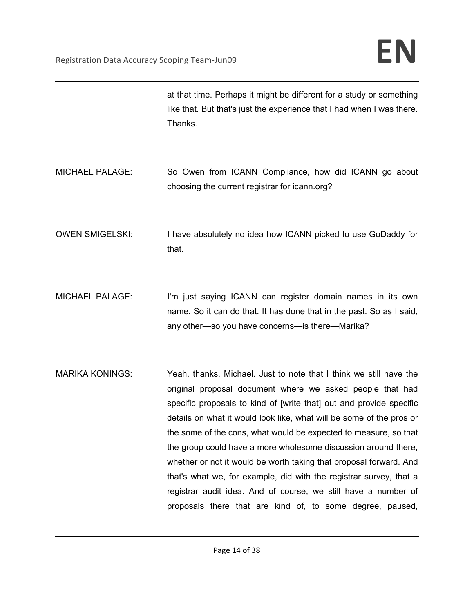|                        | at that time. Perhaps it might be different for a study or something<br>like that. But that's just the experience that I had when I was there.<br>Thanks.                                                                                                                                                                                                                                                                                                                                                                                                                                                                                                                                       |
|------------------------|-------------------------------------------------------------------------------------------------------------------------------------------------------------------------------------------------------------------------------------------------------------------------------------------------------------------------------------------------------------------------------------------------------------------------------------------------------------------------------------------------------------------------------------------------------------------------------------------------------------------------------------------------------------------------------------------------|
| <b>MICHAEL PALAGE:</b> | So Owen from ICANN Compliance, how did ICANN go about<br>choosing the current registrar for icann.org?                                                                                                                                                                                                                                                                                                                                                                                                                                                                                                                                                                                          |
| <b>OWEN SMIGELSKI:</b> | I have absolutely no idea how ICANN picked to use GoDaddy for<br>that.                                                                                                                                                                                                                                                                                                                                                                                                                                                                                                                                                                                                                          |
| <b>MICHAEL PALAGE:</b> | I'm just saying ICANN can register domain names in its own<br>name. So it can do that. It has done that in the past. So as I said,<br>any other—so you have concerns—is there—Marika?                                                                                                                                                                                                                                                                                                                                                                                                                                                                                                           |
| <b>MARIKA KONINGS:</b> | Yeah, thanks, Michael. Just to note that I think we still have the<br>original proposal document where we asked people that had<br>specific proposals to kind of [write that] out and provide specific<br>details on what it would look like, what will be some of the pros or<br>the some of the cons, what would be expected to measure, so that<br>the group could have a more wholesome discussion around there,<br>whether or not it would be worth taking that proposal forward. And<br>that's what we, for example, did with the registrar survey, that a<br>registrar audit idea. And of course, we still have a number of<br>proposals there that are kind of, to some degree, paused, |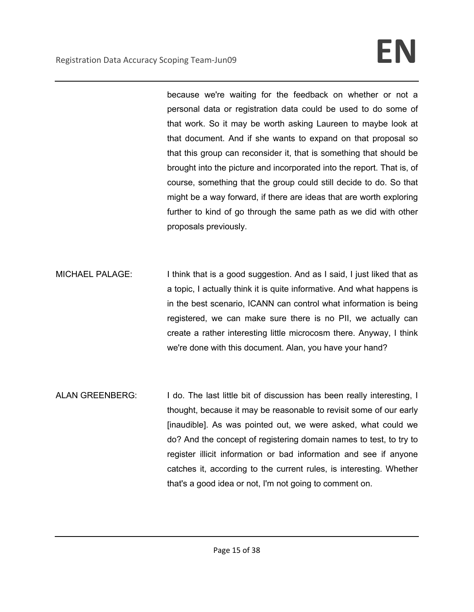because we're waiting for the feedback on whether or not a personal data or registration data could be used to do some of that work. So it may be worth asking Laureen to maybe look at that document. And if she wants to expand on that proposal so that this group can reconsider it, that is something that should be brought into the picture and incorporated into the report. That is, of course, something that the group could still decide to do. So that might be a way forward, if there are ideas that are worth exploring further to kind of go through the same path as we did with other proposals previously.

- MICHAEL PALAGE: I think that is a good suggestion. And as I said, I just liked that as a topic, I actually think it is quite informative. And what happens is in the best scenario, ICANN can control what information is being registered, we can make sure there is no PII, we actually can create a rather interesting little microcosm there. Anyway, I think we're done with this document. Alan, you have your hand?
- ALAN GREENBERG: I do. The last little bit of discussion has been really interesting, I thought, because it may be reasonable to revisit some of our early [inaudible]. As was pointed out, we were asked, what could we do? And the concept of registering domain names to test, to try to register illicit information or bad information and see if anyone catches it, according to the current rules, is interesting. Whether that's a good idea or not, I'm not going to comment on.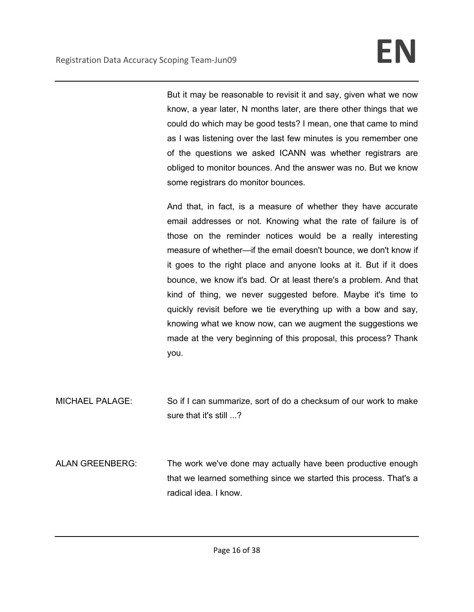But it may be reasonable to revisit it and say, given what we now know, a year later, N months later, are there other things that we could do which may be good tests? I mean, one that came to mind as I was listening over the last few minutes is you remember one of the questions we asked ICANN was whether registrars are obliged to monitor bounces. And the answer was no. But we know some registrars do monitor bounces.

And that, in fact, is a measure of whether they have accurate email addresses or not. Knowing what the rate of failure is of those on the reminder notices would be a really interesting measure of whether—if the email doesn't bounce, we don't know if it goes to the right place and anyone looks at it. But if it does bounce, we know it's bad. Or at least there's a problem. And that kind of thing, we never suggested before. Maybe it's time to quickly revisit before we tie everything up with a bow and say, knowing what we know now, can we augment the suggestions we made at the very beginning of this proposal, this process? Thank you.

MICHAEL PALAGE: So if I can summarize, sort of do a checksum of our work to make sure that it's still ...?

ALAN GREENBERG: The work we've done may actually have been productive enough that we learned something since we started this process. That's a radical idea. I know.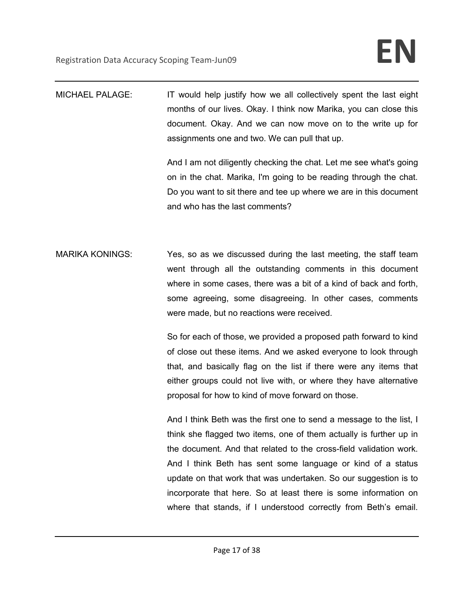| <b>MICHAEL PALAGE:</b> | IT would help justify how we all collectively spent the last eight |
|------------------------|--------------------------------------------------------------------|
|                        | months of our lives. Okay. I think now Marika, you can close this  |
|                        | document. Okay. And we can now move on to the write up for         |
|                        | assignments one and two. We can pull that up.                      |

And I am not diligently checking the chat. Let me see what's going on in the chat. Marika, I'm going to be reading through the chat. Do you want to sit there and tee up where we are in this document and who has the last comments?

MARIKA KONINGS: Yes, so as we discussed during the last meeting, the staff team went through all the outstanding comments in this document where in some cases, there was a bit of a kind of back and forth, some agreeing, some disagreeing. In other cases, comments were made, but no reactions were received.

> So for each of those, we provided a proposed path forward to kind of close out these items. And we asked everyone to look through that, and basically flag on the list if there were any items that either groups could not live with, or where they have alternative proposal for how to kind of move forward on those.

> And I think Beth was the first one to send a message to the list, I think she flagged two items, one of them actually is further up in the document. And that related to the cross-field validation work. And I think Beth has sent some language or kind of a status update on that work that was undertaken. So our suggestion is to incorporate that here. So at least there is some information on where that stands, if I understood correctly from Beth's email.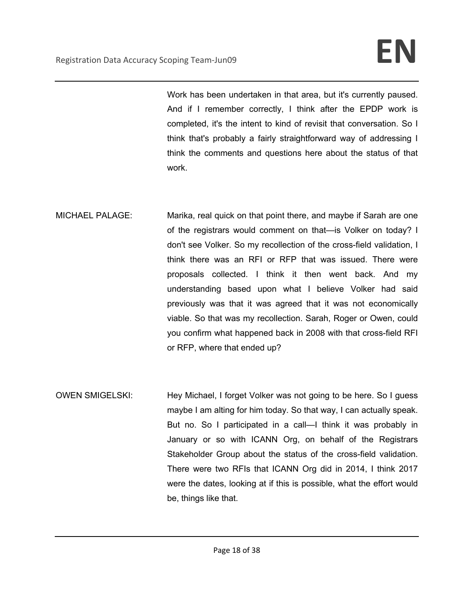Work has been undertaken in that area, but it's currently paused. And if I remember correctly, I think after the EPDP work is completed, it's the intent to kind of revisit that conversation. So I think that's probably a fairly straightforward way of addressing I think the comments and questions here about the status of that work.

- MICHAEL PALAGE: Marika, real quick on that point there, and maybe if Sarah are one of the registrars would comment on that—is Volker on today? I don't see Volker. So my recollection of the cross-field validation, I think there was an RFI or RFP that was issued. There were proposals collected. I think it then went back. And my understanding based upon what I believe Volker had said previously was that it was agreed that it was not economically viable. So that was my recollection. Sarah, Roger or Owen, could you confirm what happened back in 2008 with that cross-field RFI or RFP, where that ended up?
- OWEN SMIGELSKI: Hey Michael, I forget Volker was not going to be here. So I guess maybe I am alting for him today. So that way, I can actually speak. But no. So I participated in a call—I think it was probably in January or so with ICANN Org, on behalf of the Registrars Stakeholder Group about the status of the cross-field validation. There were two RFIs that ICANN Org did in 2014, I think 2017 were the dates, looking at if this is possible, what the effort would be, things like that.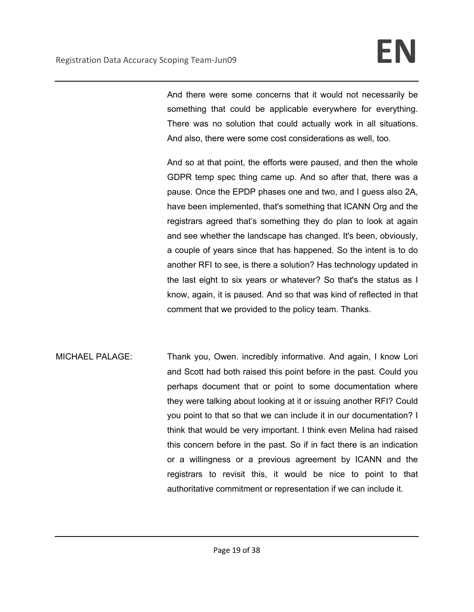And there were some concerns that it would not necessarily be something that could be applicable everywhere for everything. There was no solution that could actually work in all situations. And also, there were some cost considerations as well, too.

And so at that point, the efforts were paused, and then the whole GDPR temp spec thing came up. And so after that, there was a pause. Once the EPDP phases one and two, and I guess also 2A, have been implemented, that's something that ICANN Org and the registrars agreed that's something they do plan to look at again and see whether the landscape has changed. It's been, obviously, a couple of years since that has happened. So the intent is to do another RFI to see, is there a solution? Has technology updated in the last eight to six years or whatever? So that's the status as I know, again, it is paused. And so that was kind of reflected in that comment that we provided to the policy team. Thanks.

MICHAEL PALAGE: Thank you, Owen. incredibly informative. And again, I know Lori and Scott had both raised this point before in the past. Could you perhaps document that or point to some documentation where they were talking about looking at it or issuing another RFI? Could you point to that so that we can include it in our documentation? I think that would be very important. I think even Melina had raised this concern before in the past. So if in fact there is an indication or a willingness or a previous agreement by ICANN and the registrars to revisit this, it would be nice to point to that authoritative commitment or representation if we can include it.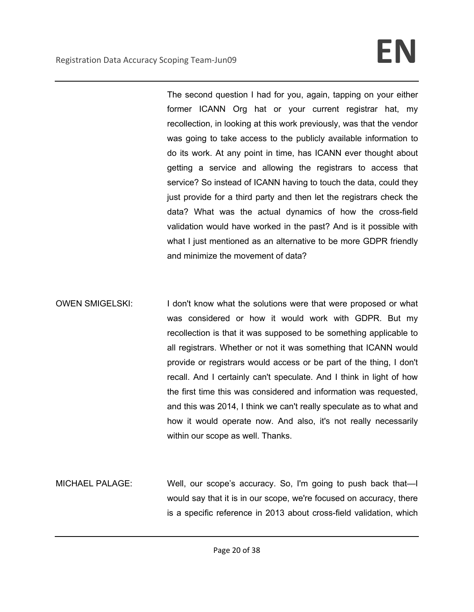The second question I had for you, again, tapping on your either former ICANN Org hat or your current registrar hat, my recollection, in looking at this work previously, was that the vendor was going to take access to the publicly available information to do its work. At any point in time, has ICANN ever thought about getting a service and allowing the registrars to access that service? So instead of ICANN having to touch the data, could they just provide for a third party and then let the registrars check the data? What was the actual dynamics of how the cross-field validation would have worked in the past? And is it possible with what I just mentioned as an alternative to be more GDPR friendly and minimize the movement of data?

- OWEN SMIGELSKI: I don't know what the solutions were that were proposed or what was considered or how it would work with GDPR. But my recollection is that it was supposed to be something applicable to all registrars. Whether or not it was something that ICANN would provide or registrars would access or be part of the thing, I don't recall. And I certainly can't speculate. And I think in light of how the first time this was considered and information was requested, and this was 2014, I think we can't really speculate as to what and how it would operate now. And also, it's not really necessarily within our scope as well. Thanks.
- MICHAEL PALAGE: Well, our scope's accuracy. So, I'm going to push back that—I would say that it is in our scope, we're focused on accuracy, there is a specific reference in 2013 about cross-field validation, which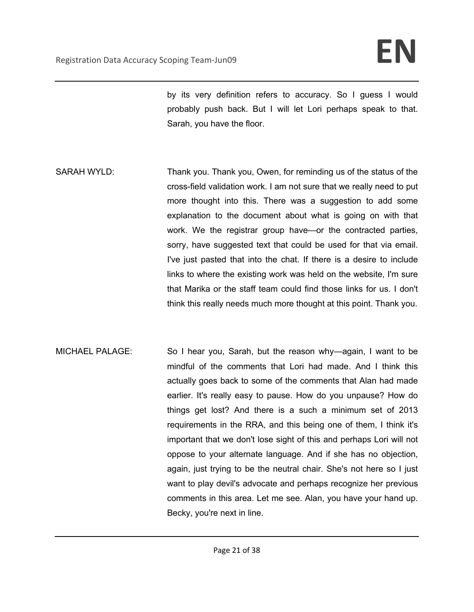by its very definition refers to accuracy. So I guess I would probably push back. But I will let Lori perhaps speak to that. Sarah, you have the floor.

- SARAH WYLD: Thank you. Thank you, Owen, for reminding us of the status of the cross-field validation work. I am not sure that we really need to put more thought into this. There was a suggestion to add some explanation to the document about what is going on with that work. We the registrar group have—or the contracted parties, sorry, have suggested text that could be used for that via email. I've just pasted that into the chat. If there is a desire to include links to where the existing work was held on the website, I'm sure that Marika or the staff team could find those links for us. I don't think this really needs much more thought at this point. Thank you.
- MICHAEL PALAGE: So I hear you, Sarah, but the reason why—again, I want to be mindful of the comments that Lori had made. And I think this actually goes back to some of the comments that Alan had made earlier. It's really easy to pause. How do you unpause? How do things get lost? And there is a such a minimum set of 2013 requirements in the RRA, and this being one of them, I think it's important that we don't lose sight of this and perhaps Lori will not oppose to your alternate language. And if she has no objection, again, just trying to be the neutral chair. She's not here so I just want to play devil's advocate and perhaps recognize her previous comments in this area. Let me see. Alan, you have your hand up. Becky, you're next in line.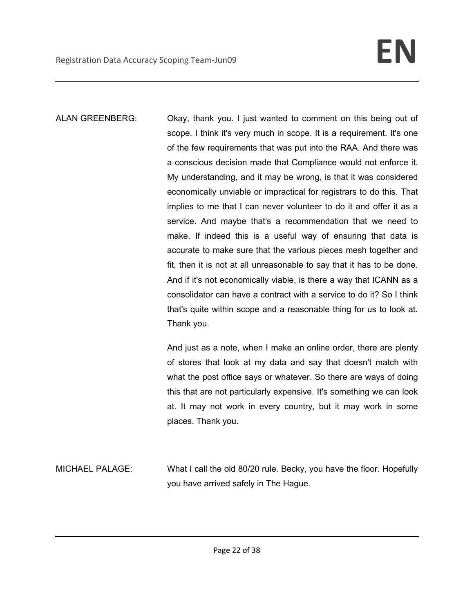ALAN GREENBERG: Okay, thank you. I just wanted to comment on this being out of scope. I think it's very much in scope. It is a requirement. It's one of the few requirements that was put into the RAA. And there was a conscious decision made that Compliance would not enforce it. My understanding, and it may be wrong, is that it was considered economically unviable or impractical for registrars to do this. That implies to me that I can never volunteer to do it and offer it as a service. And maybe that's a recommendation that we need to make. If indeed this is a useful way of ensuring that data is accurate to make sure that the various pieces mesh together and fit, then it is not at all unreasonable to say that it has to be done. And if it's not economically viable, is there a way that ICANN as a consolidator can have a contract with a service to do it? So I think that's quite within scope and a reasonable thing for us to look at. Thank you.

> And just as a note, when I make an online order, there are plenty of stores that look at my data and say that doesn't match with what the post office says or whatever. So there are ways of doing this that are not particularly expensive. It's something we can look at. It may not work in every country, but it may work in some places. Thank you.

MICHAEL PALAGE: What I call the old 80/20 rule. Becky, you have the floor. Hopefully you have arrived safely in The Hague.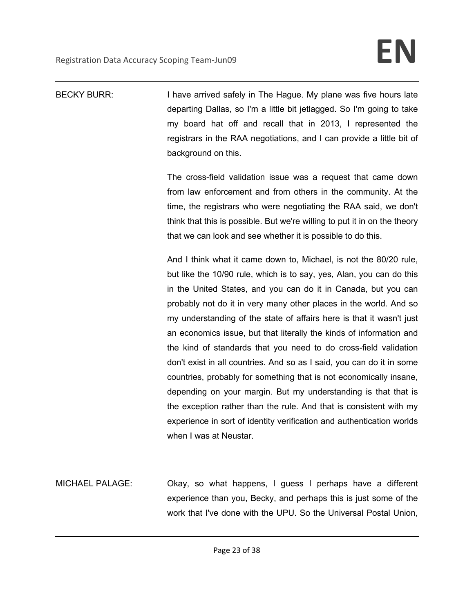| <b>BECKY BURR:</b>     | I have arrived safely in The Hague. My plane was five hours late<br>departing Dallas, so I'm a little bit jetlagged. So I'm going to take<br>my board hat off and recall that in 2013, I represented the<br>registrars in the RAA negotiations, and I can provide a little bit of<br>background on this.<br>The cross-field validation issue was a request that came down<br>from law enforcement and from others in the community. At the<br>time, the registrars who were negotiating the RAA said, we don't<br>think that this is possible. But we're willing to put it in on the theory<br>that we can look and see whether it is possible to do this.<br>And I think what it came down to, Michael, is not the 80/20 rule,<br>but like the 10/90 rule, which is to say, yes, Alan, you can do this<br>in the United States, and you can do it in Canada, but you can<br>probably not do it in very many other places in the world. And so<br>my understanding of the state of affairs here is that it wasn't just<br>an economics issue, but that literally the kinds of information and |
|------------------------|-----------------------------------------------------------------------------------------------------------------------------------------------------------------------------------------------------------------------------------------------------------------------------------------------------------------------------------------------------------------------------------------------------------------------------------------------------------------------------------------------------------------------------------------------------------------------------------------------------------------------------------------------------------------------------------------------------------------------------------------------------------------------------------------------------------------------------------------------------------------------------------------------------------------------------------------------------------------------------------------------------------------------------------------------------------------------------------------------|
|                        | the kind of standards that you need to do cross-field validation<br>don't exist in all countries. And so as I said, you can do it in some<br>countries, probably for something that is not economically insane,<br>depending on your margin. But my understanding is that that is                                                                                                                                                                                                                                                                                                                                                                                                                                                                                                                                                                                                                                                                                                                                                                                                             |
|                        | the exception rather than the rule. And that is consistent with my<br>experience in sort of identity verification and authentication worlds<br>when I was at Neustar.                                                                                                                                                                                                                                                                                                                                                                                                                                                                                                                                                                                                                                                                                                                                                                                                                                                                                                                         |
| <b>MICHAEL PALAGE:</b> | Okay, so what happens, I guess I perhaps have a different<br>experience than you, Becky, and perhaps this is just some of the<br>work that I've done with the UPU. So the Universal Postal Union,                                                                                                                                                                                                                                                                                                                                                                                                                                                                                                                                                                                                                                                                                                                                                                                                                                                                                             |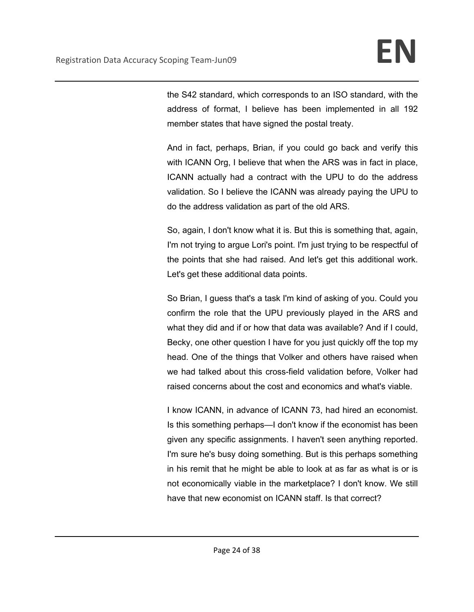the S42 standard, which corresponds to an ISO standard, with the address of format, I believe has been implemented in all 192 member states that have signed the postal treaty.

And in fact, perhaps, Brian, if you could go back and verify this with ICANN Org, I believe that when the ARS was in fact in place, ICANN actually had a contract with the UPU to do the address validation. So I believe the ICANN was already paying the UPU to do the address validation as part of the old ARS.

So, again, I don't know what it is. But this is something that, again, I'm not trying to argue Lori's point. I'm just trying to be respectful of the points that she had raised. And let's get this additional work. Let's get these additional data points.

So Brian, I guess that's a task I'm kind of asking of you. Could you confirm the role that the UPU previously played in the ARS and what they did and if or how that data was available? And if I could, Becky, one other question I have for you just quickly off the top my head. One of the things that Volker and others have raised when we had talked about this cross-field validation before, Volker had raised concerns about the cost and economics and what's viable.

I know ICANN, in advance of ICANN 73, had hired an economist. Is this something perhaps—I don't know if the economist has been given any specific assignments. I haven't seen anything reported. I'm sure he's busy doing something. But is this perhaps something in his remit that he might be able to look at as far as what is or is not economically viable in the marketplace? I don't know. We still have that new economist on ICANN staff. Is that correct?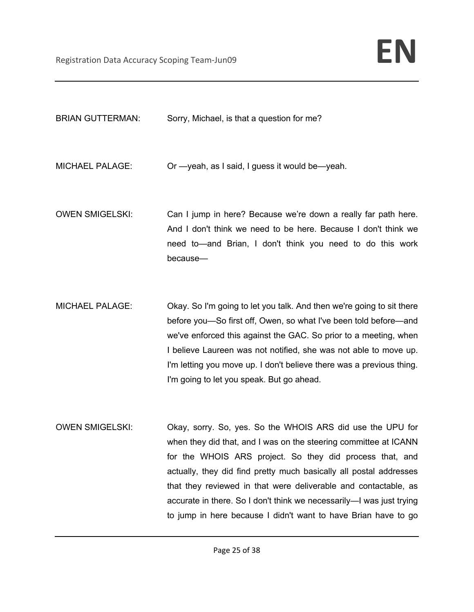| <b>BRIAN GUTTERMAN:</b> | Sorry, Michael, is that a question for me?                                                                                                                                                                                                                                                                                                                                                                                                                                    |
|-------------------------|-------------------------------------------------------------------------------------------------------------------------------------------------------------------------------------------------------------------------------------------------------------------------------------------------------------------------------------------------------------------------------------------------------------------------------------------------------------------------------|
| <b>MICHAEL PALAGE:</b>  | Or -yeah, as I said, I guess it would be-yeah.                                                                                                                                                                                                                                                                                                                                                                                                                                |
| <b>OWEN SMIGELSKI:</b>  | Can I jump in here? Because we're down a really far path here.<br>And I don't think we need to be here. Because I don't think we<br>need to—and Brian, I don't think you need to do this work<br>because-                                                                                                                                                                                                                                                                     |
| <b>MICHAEL PALAGE:</b>  | Okay. So I'm going to let you talk. And then we're going to sit there<br>before you-So first off, Owen, so what I've been told before-and<br>we've enforced this against the GAC. So prior to a meeting, when<br>I believe Laureen was not notified, she was not able to move up.<br>I'm letting you move up. I don't believe there was a previous thing.<br>I'm going to let you speak. But go ahead.                                                                        |
| <b>OWEN SMIGELSKI:</b>  | Okay, sorry. So, yes. So the WHOIS ARS did use the UPU for<br>when they did that, and I was on the steering committee at ICANN<br>for the WHOIS ARS project. So they did process that, and<br>actually, they did find pretty much basically all postal addresses<br>that they reviewed in that were deliverable and contactable, as<br>accurate in there. So I don't think we necessarily-I was just trying<br>to jump in here because I didn't want to have Brian have to go |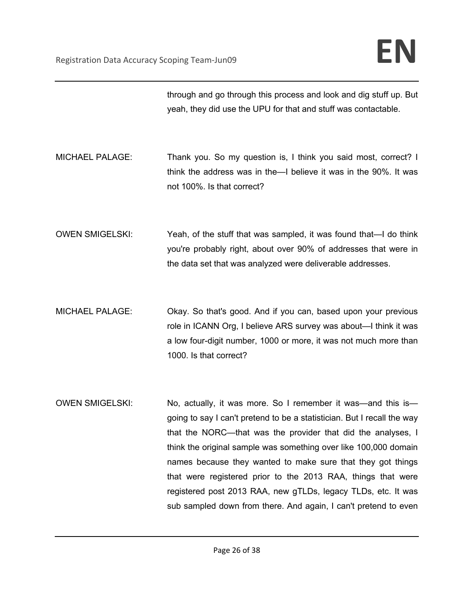|                        | through and go through this process and look and dig stuff up. But<br>yeah, they did use the UPU for that and stuff was contactable.                                                                                                                                                                                                                                                                                                                                                                                                           |
|------------------------|------------------------------------------------------------------------------------------------------------------------------------------------------------------------------------------------------------------------------------------------------------------------------------------------------------------------------------------------------------------------------------------------------------------------------------------------------------------------------------------------------------------------------------------------|
| <b>MICHAEL PALAGE:</b> | Thank you. So my question is, I think you said most, correct? I<br>think the address was in the-I believe it was in the 90%. It was<br>not 100%. Is that correct?                                                                                                                                                                                                                                                                                                                                                                              |
| <b>OWEN SMIGELSKI:</b> | Yeah, of the stuff that was sampled, it was found that—I do think<br>you're probably right, about over 90% of addresses that were in<br>the data set that was analyzed were deliverable addresses.                                                                                                                                                                                                                                                                                                                                             |
| <b>MICHAEL PALAGE:</b> | Okay. So that's good. And if you can, based upon your previous<br>role in ICANN Org, I believe ARS survey was about—I think it was<br>a low four-digit number, 1000 or more, it was not much more than<br>1000. Is that correct?                                                                                                                                                                                                                                                                                                               |
| <b>OWEN SMIGELSKI:</b> | No, actually, it was more. So I remember it was—and this is—<br>going to say I can't pretend to be a statistician. But I recall the way<br>that the NORC-that was the provider that did the analyses, I<br>think the original sample was something over like 100,000 domain<br>names because they wanted to make sure that they got things<br>that were registered prior to the 2013 RAA, things that were<br>registered post 2013 RAA, new gTLDs, legacy TLDs, etc. It was<br>sub sampled down from there. And again, I can't pretend to even |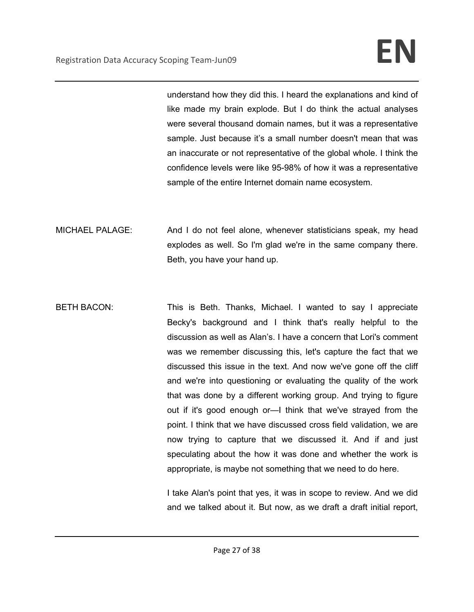understand how they did this. I heard the explanations and kind of like made my brain explode. But I do think the actual analyses were several thousand domain names, but it was a representative sample. Just because it's a small number doesn't mean that was an inaccurate or not representative of the global whole. I think the confidence levels were like 95-98% of how it was a representative sample of the entire Internet domain name ecosystem.

MICHAEL PALAGE: And I do not feel alone, whenever statisticians speak, my head explodes as well. So I'm glad we're in the same company there. Beth, you have your hand up.

BETH BACON: This is Beth. Thanks, Michael. I wanted to say I appreciate Becky's background and I think that's really helpful to the discussion as well as Alan's. I have a concern that Lori's comment was we remember discussing this, let's capture the fact that we discussed this issue in the text. And now we've gone off the cliff and we're into questioning or evaluating the quality of the work that was done by a different working group. And trying to figure out if it's good enough or—I think that we've strayed from the point. I think that we have discussed cross field validation, we are now trying to capture that we discussed it. And if and just speculating about the how it was done and whether the work is appropriate, is maybe not something that we need to do here.

> I take Alan's point that yes, it was in scope to review. And we did and we talked about it. But now, as we draft a draft initial report,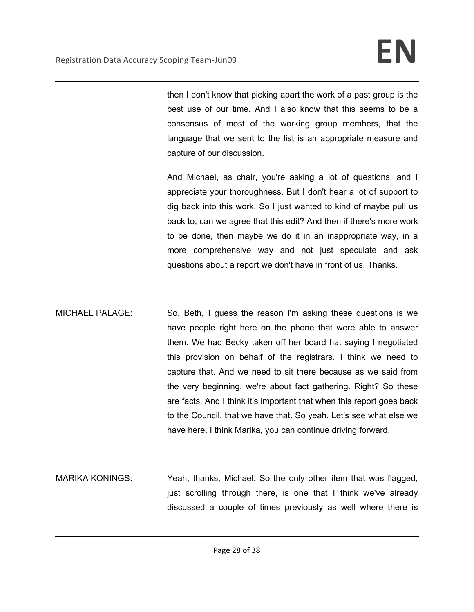then I don't know that picking apart the work of a past group is the best use of our time. And I also know that this seems to be a consensus of most of the working group members, that the language that we sent to the list is an appropriate measure and capture of our discussion.

And Michael, as chair, you're asking a lot of questions, and I appreciate your thoroughness. But I don't hear a lot of support to dig back into this work. So I just wanted to kind of maybe pull us back to, can we agree that this edit? And then if there's more work to be done, then maybe we do it in an inappropriate way, in a more comprehensive way and not just speculate and ask questions about a report we don't have in front of us. Thanks.

- MICHAEL PALAGE: So, Beth, I guess the reason I'm asking these questions is we have people right here on the phone that were able to answer them. We had Becky taken off her board hat saying I negotiated this provision on behalf of the registrars. I think we need to capture that. And we need to sit there because as we said from the very beginning, we're about fact gathering. Right? So these are facts. And I think it's important that when this report goes back to the Council, that we have that. So yeah. Let's see what else we have here. I think Marika, you can continue driving forward.
- MARIKA KONINGS: Yeah, thanks, Michael. So the only other item that was flagged, just scrolling through there, is one that I think we've already discussed a couple of times previously as well where there is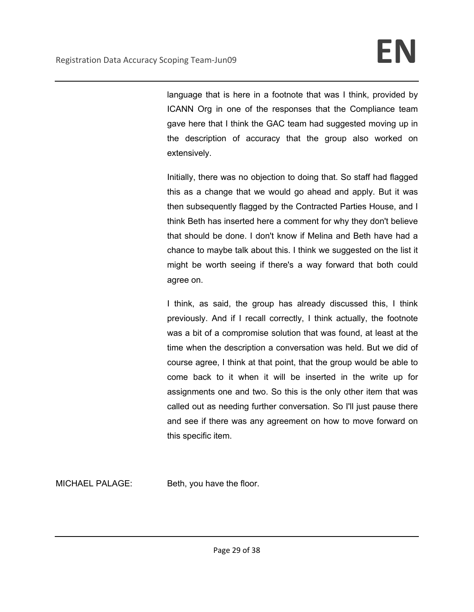language that is here in a footnote that was I think, provided by ICANN Org in one of the responses that the Compliance team gave here that I think the GAC team had suggested moving up in the description of accuracy that the group also worked on extensively.

Initially, there was no objection to doing that. So staff had flagged this as a change that we would go ahead and apply. But it was then subsequently flagged by the Contracted Parties House, and I think Beth has inserted here a comment for why they don't believe that should be done. I don't know if Melina and Beth have had a chance to maybe talk about this. I think we suggested on the list it might be worth seeing if there's a way forward that both could agree on.

I think, as said, the group has already discussed this, I think previously. And if I recall correctly, I think actually, the footnote was a bit of a compromise solution that was found, at least at the time when the description a conversation was held. But we did of course agree, I think at that point, that the group would be able to come back to it when it will be inserted in the write up for assignments one and two. So this is the only other item that was called out as needing further conversation. So I'll just pause there and see if there was any agreement on how to move forward on this specific item.

MICHAEL PALAGE: Beth, you have the floor.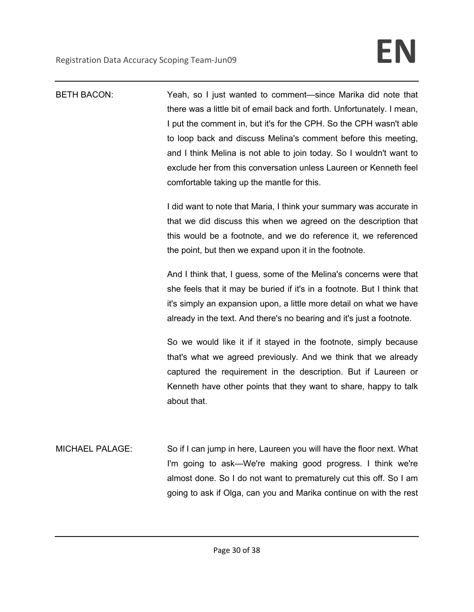| <b>BETH BACON:</b>     | Yeah, so I just wanted to comment—since Marika did note that<br>there was a little bit of email back and forth. Unfortunately. I mean,<br>I put the comment in, but it's for the CPH. So the CPH wasn't able<br>to loop back and discuss Melina's comment before this meeting,<br>and I think Melina is not able to join today. So I wouldn't want to<br>exclude her from this conversation unless Laureen or Kenneth feel<br>comfortable taking up the mantle for this.<br>I did want to note that Maria, I think your summary was accurate in<br>that we did discuss this when we agreed on the description that<br>this would be a footnote, and we do reference it, we referenced<br>the point, but then we expand upon it in the footnote.<br>And I think that, I guess, some of the Melina's concerns were that<br>she feels that it may be buried if it's in a footnote. But I think that<br>it's simply an expansion upon, a little more detail on what we have<br>already in the text. And there's no bearing and it's just a footnote.<br>So we would like it if it stayed in the footnote, simply because<br>that's what we agreed previously. And we think that we already<br>captured the requirement in the description. But if Laureen or |
|------------------------|----------------------------------------------------------------------------------------------------------------------------------------------------------------------------------------------------------------------------------------------------------------------------------------------------------------------------------------------------------------------------------------------------------------------------------------------------------------------------------------------------------------------------------------------------------------------------------------------------------------------------------------------------------------------------------------------------------------------------------------------------------------------------------------------------------------------------------------------------------------------------------------------------------------------------------------------------------------------------------------------------------------------------------------------------------------------------------------------------------------------------------------------------------------------------------------------------------------------------------------------------------|
|                        | Kenneth have other points that they want to share, happy to talk<br>about that.                                                                                                                                                                                                                                                                                                                                                                                                                                                                                                                                                                                                                                                                                                                                                                                                                                                                                                                                                                                                                                                                                                                                                                          |
| <b>MICHAEL PALAGE:</b> | So if I can jump in here, Laureen you will have the floor next. What<br>I'm going to ask—We're making good progress. I think we're<br>almost done. So I do not want to prematurely cut this off. So I am<br>going to ask if Olga, can you and Marika continue on with the rest                                                                                                                                                                                                                                                                                                                                                                                                                                                                                                                                                                                                                                                                                                                                                                                                                                                                                                                                                                           |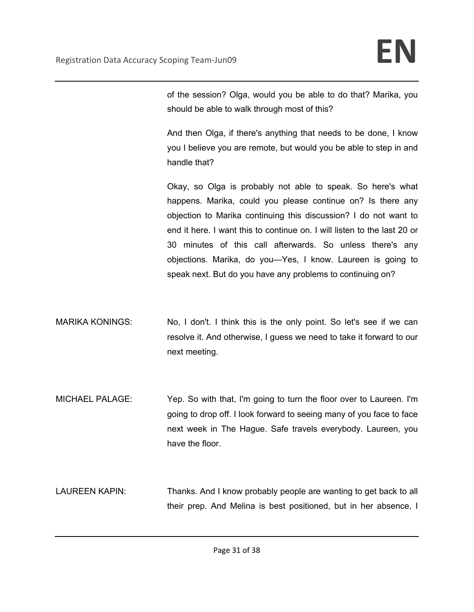of the session? Olga, would you be able to do that? Marika, you should be able to walk through most of this?

And then Olga, if there's anything that needs to be done, I know you I believe you are remote, but would you be able to step in and handle that?

Okay, so Olga is probably not able to speak. So here's what happens. Marika, could you please continue on? Is there any objection to Marika continuing this discussion? I do not want to end it here. I want this to continue on. I will listen to the last 20 or 30 minutes of this call afterwards. So unless there's any objections. Marika, do you—Yes, I know. Laureen is going to speak next. But do you have any problems to continuing on?

- MARIKA KONINGS: No, I don't. I think this is the only point. So let's see if we can resolve it. And otherwise, I guess we need to take it forward to our next meeting.
- MICHAEL PALAGE: Yep. So with that, I'm going to turn the floor over to Laureen. I'm going to drop off. I look forward to seeing many of you face to face next week in The Hague. Safe travels everybody. Laureen, you have the floor.

LAUREEN KAPIN: Thanks. And I know probably people are wanting to get back to all their prep. And Melina is best positioned, but in her absence, I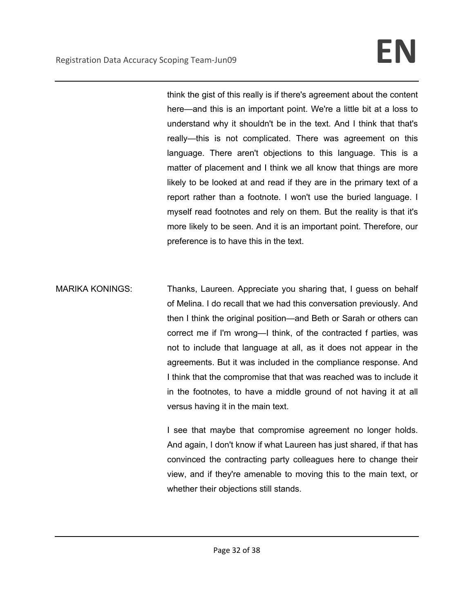think the gist of this really is if there's agreement about the content here—and this is an important point. We're a little bit at a loss to understand why it shouldn't be in the text. And I think that that's really—this is not complicated. There was agreement on this language. There aren't objections to this language. This is a matter of placement and I think we all know that things are more likely to be looked at and read if they are in the primary text of a report rather than a footnote. I won't use the buried language. I myself read footnotes and rely on them. But the reality is that it's more likely to be seen. And it is an important point. Therefore, our preference is to have this in the text.

MARIKA KONINGS: Thanks, Laureen. Appreciate you sharing that, I guess on behalf of Melina. I do recall that we had this conversation previously. And then I think the original position—and Beth or Sarah or others can correct me if I'm wrong—I think, of the contracted f parties, was not to include that language at all, as it does not appear in the agreements. But it was included in the compliance response. And I think that the compromise that that was reached was to include it in the footnotes, to have a middle ground of not having it at all versus having it in the main text.

> I see that maybe that compromise agreement no longer holds. And again, I don't know if what Laureen has just shared, if that has convinced the contracting party colleagues here to change their view, and if they're amenable to moving this to the main text, or whether their objections still stands.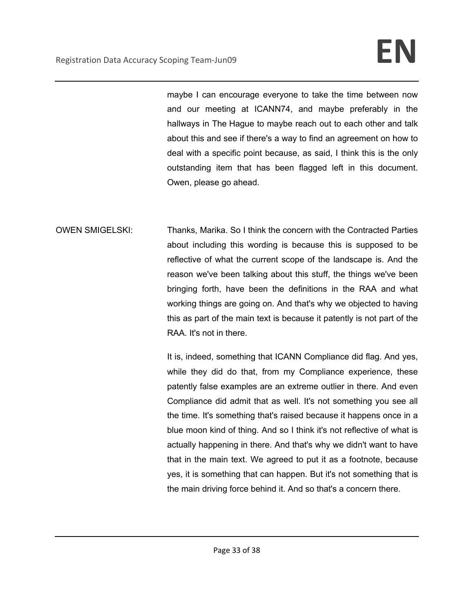maybe I can encourage everyone to take the time between now and our meeting at ICANN74, and maybe preferably in the hallways in The Hague to maybe reach out to each other and talk about this and see if there's a way to find an agreement on how to deal with a specific point because, as said, I think this is the only outstanding item that has been flagged left in this document. Owen, please go ahead.

OWEN SMIGELSKI: Thanks, Marika. So I think the concern with the Contracted Parties about including this wording is because this is supposed to be reflective of what the current scope of the landscape is. And the reason we've been talking about this stuff, the things we've been bringing forth, have been the definitions in the RAA and what working things are going on. And that's why we objected to having this as part of the main text is because it patently is not part of the RAA. It's not in there.

> It is, indeed, something that ICANN Compliance did flag. And yes, while they did do that, from my Compliance experience, these patently false examples are an extreme outlier in there. And even Compliance did admit that as well. It's not something you see all the time. It's something that's raised because it happens once in a blue moon kind of thing. And so I think it's not reflective of what is actually happening in there. And that's why we didn't want to have that in the main text. We agreed to put it as a footnote, because yes, it is something that can happen. But it's not something that is the main driving force behind it. And so that's a concern there.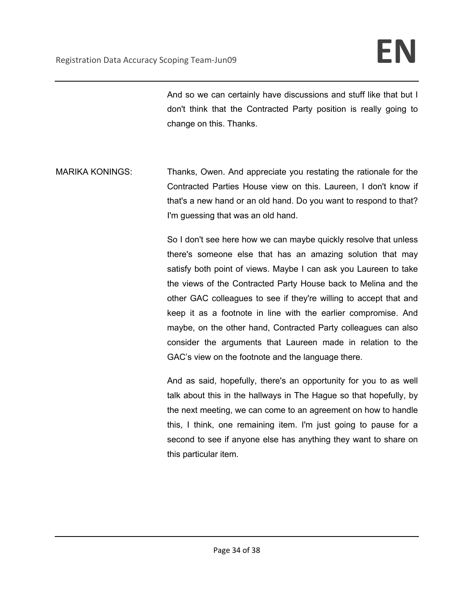And so we can certainly have discussions and stuff like that but I don't think that the Contracted Party position is really going to change on this. Thanks.

MARIKA KONINGS: Thanks, Owen. And appreciate you restating the rationale for the Contracted Parties House view on this. Laureen, I don't know if that's a new hand or an old hand. Do you want to respond to that? I'm guessing that was an old hand.

> So I don't see here how we can maybe quickly resolve that unless there's someone else that has an amazing solution that may satisfy both point of views. Maybe I can ask you Laureen to take the views of the Contracted Party House back to Melina and the other GAC colleagues to see if they're willing to accept that and keep it as a footnote in line with the earlier compromise. And maybe, on the other hand, Contracted Party colleagues can also consider the arguments that Laureen made in relation to the GAC's view on the footnote and the language there.

> And as said, hopefully, there's an opportunity for you to as well talk about this in the hallways in The Hague so that hopefully, by the next meeting, we can come to an agreement on how to handle this, I think, one remaining item. I'm just going to pause for a second to see if anyone else has anything they want to share on this particular item.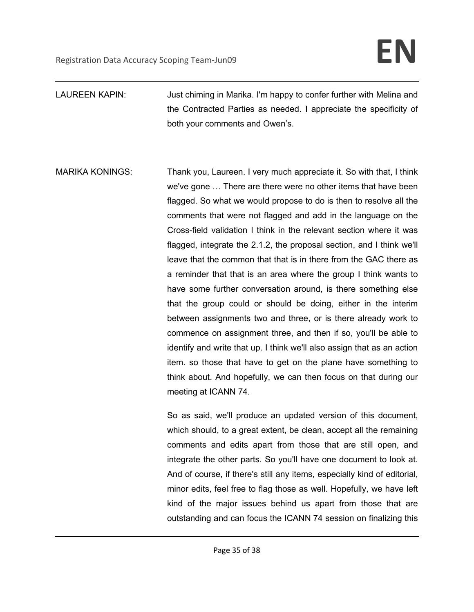- LAUREEN KAPIN: Just chiming in Marika. I'm happy to confer further with Melina and the Contracted Parties as needed. I appreciate the specificity of both your comments and Owen's.
- MARIKA KONINGS: Thank you, Laureen. I very much appreciate it. So with that, I think we've gone … There are there were no other items that have been flagged. So what we would propose to do is then to resolve all the comments that were not flagged and add in the language on the Cross-field validation I think in the relevant section where it was flagged, integrate the 2.1.2, the proposal section, and I think we'll leave that the common that that is in there from the GAC there as a reminder that that is an area where the group I think wants to have some further conversation around, is there something else that the group could or should be doing, either in the interim between assignments two and three, or is there already work to commence on assignment three, and then if so, you'll be able to identify and write that up. I think we'll also assign that as an action item. so those that have to get on the plane have something to think about. And hopefully, we can then focus on that during our meeting at ICANN 74.

So as said, we'll produce an updated version of this document, which should, to a great extent, be clean, accept all the remaining comments and edits apart from those that are still open, and integrate the other parts. So you'll have one document to look at. And of course, if there's still any items, especially kind of editorial, minor edits, feel free to flag those as well. Hopefully, we have left kind of the major issues behind us apart from those that are outstanding and can focus the ICANN 74 session on finalizing this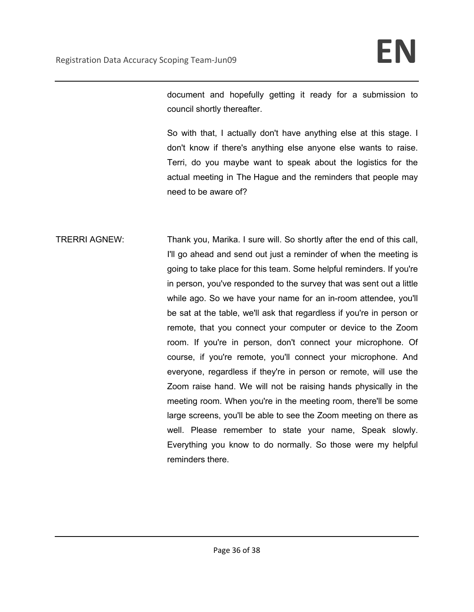document and hopefully getting it ready for a submission to council shortly thereafter.

So with that, I actually don't have anything else at this stage. I don't know if there's anything else anyone else wants to raise. Terri, do you maybe want to speak about the logistics for the actual meeting in The Hague and the reminders that people may need to be aware of?

TRERRI AGNEW: Thank you, Marika. I sure will. So shortly after the end of this call, I'll go ahead and send out just a reminder of when the meeting is going to take place for this team. Some helpful reminders. If you're in person, you've responded to the survey that was sent out a little while ago. So we have your name for an in-room attendee, you'll be sat at the table, we'll ask that regardless if you're in person or remote, that you connect your computer or device to the Zoom room. If you're in person, don't connect your microphone. Of course, if you're remote, you'll connect your microphone. And everyone, regardless if they're in person or remote, will use the Zoom raise hand. We will not be raising hands physically in the meeting room. When you're in the meeting room, there'll be some large screens, you'll be able to see the Zoom meeting on there as well. Please remember to state your name, Speak slowly. Everything you know to do normally. So those were my helpful reminders there.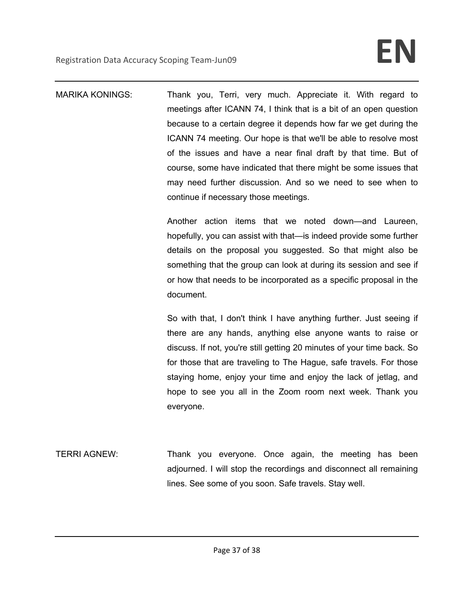MARIKA KONINGS: Thank you, Terri, very much. Appreciate it. With regard to meetings after ICANN 74, I think that is a bit of an open question because to a certain degree it depends how far we get during the ICANN 74 meeting. Our hope is that we'll be able to resolve most of the issues and have a near final draft by that time. But of course, some have indicated that there might be some issues that may need further discussion. And so we need to see when to continue if necessary those meetings.

> Another action items that we noted down—and Laureen, hopefully, you can assist with that—is indeed provide some further details on the proposal you suggested. So that might also be something that the group can look at during its session and see if or how that needs to be incorporated as a specific proposal in the document.

> So with that, I don't think I have anything further. Just seeing if there are any hands, anything else anyone wants to raise or discuss. If not, you're still getting 20 minutes of your time back. So for those that are traveling to The Hague, safe travels. For those staying home, enjoy your time and enjoy the lack of jetlag, and hope to see you all in the Zoom room next week. Thank you everyone.

TERRI AGNEW: Thank you everyone. Once again, the meeting has been adjourned. I will stop the recordings and disconnect all remaining lines. See some of you soon. Safe travels. Stay well.